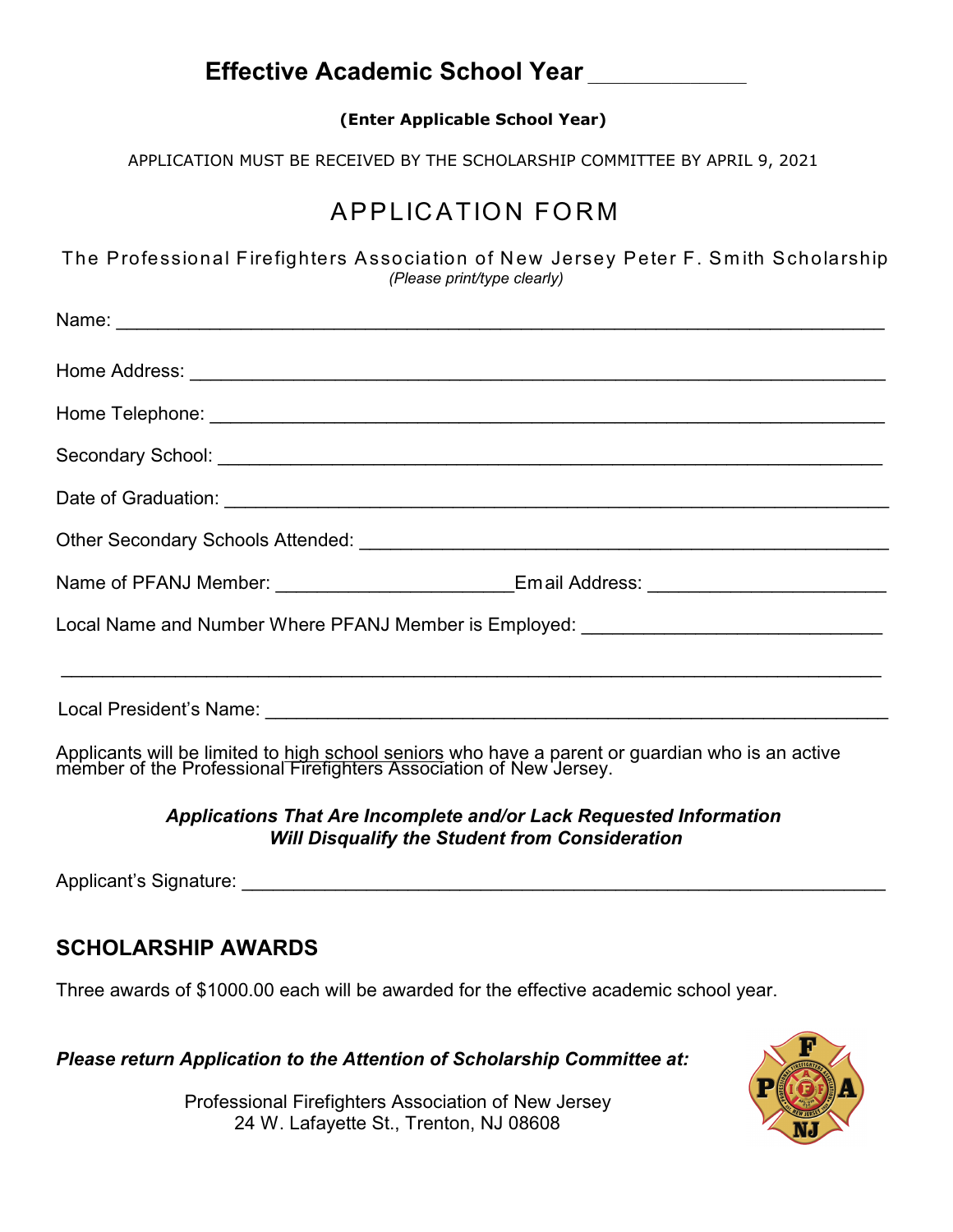## **Effective Academic School Year** \_\_\_\_\_\_\_\_\_\_\_\_\_\_\_\_\_

**(Enter Applicable School Year)**

APPLICATION MUST BE RECEIVED BY THE SCHOLARSHIP COMMITTEE BY APRIL 9, 2021

# APPLICATION FOR M

The Professional Firefighters Association of New Jersey Peter F. Smith Scholarship *(Please print/type clearly)*

| Name: <u>Name:</u> Name: Name: Name: Name: Name: Name: Name: Name: Name: Name: Name: Name: Name: Name: Name: Name: Name: Name: Name: Name: Name: Name: Name: Name: Name: Name: Name: Name: Name: Name: Name: Name: Name: Name: Name |  |
|-------------------------------------------------------------------------------------------------------------------------------------------------------------------------------------------------------------------------------------|--|
|                                                                                                                                                                                                                                     |  |
|                                                                                                                                                                                                                                     |  |
|                                                                                                                                                                                                                                     |  |
|                                                                                                                                                                                                                                     |  |
|                                                                                                                                                                                                                                     |  |
| Name of PFANJ Member: ________________________Email Address: ___________________                                                                                                                                                    |  |
| Local Name and Number Where PFANJ Member is Employed: __________________________                                                                                                                                                    |  |
|                                                                                                                                                                                                                                     |  |
|                                                                                                                                                                                                                                     |  |
|                                                                                                                                                                                                                                     |  |

Applicants will be limited to high school seniors who have a parent or guardian who is an active member of the Professional Firefighters Association of New Jersey.

#### *Applications That Are Incomplete and/or Lack Requested Information Will Disqualify the Student from Consideration*

Applicant's Signature:  $\Box$ 

## **SCHOLARSHIP AWARDS**

Three awards of \$1000.00 each will be awarded for the effective academic school year.

*Please return Application to the Attention of Scholarship Committee at:*

Professional Firefighters Association of New Jersey 24 W. Lafayette St., Trenton, NJ 08608